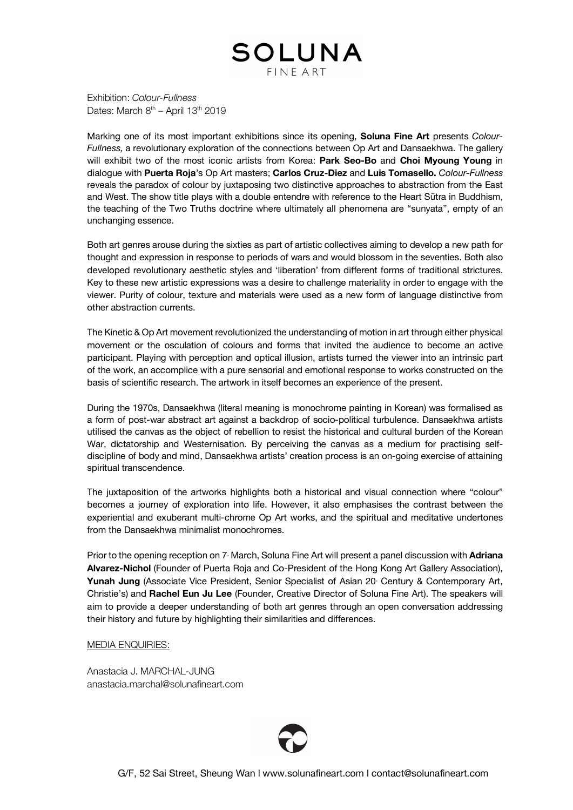

Exhibition: *Colour-Fullness* Dates: March  $8<sup>th</sup>$  – April 13<sup>th</sup> 2019

Marking one of its most important exhibitions since its opening, **Soluna Fine Art** presents *Colour-Fullness,* a revolutionary exploration of the connections between Op Art and Dansaekhwa. The gallery will exhibit two of the most iconic artists from Korea: **Park Seo-Bo** and **Choi Myoung Young** in dialogue with **Puerta Roja**'s Op Art masters; **Carlos Cruz-Diez** and **Luis Tomasello.** *Colour-Fullness* reveals the paradox of colour by juxtaposing two distinctive approaches to abstraction from the East and West. The show title plays with a double entendre with reference to the Heart Sūtra in Buddhism, the teaching of the Two Truths doctrine where ultimately all phenomena are "sunyata", empty of an unchanging essence.

Both art genres arouse during the sixties as part of artistic collectives aiming to develop a new path for thought and expression in response to periods of wars and would blossom in the seventies. Both also developed revolutionary aesthetic styles and 'liberation' from different forms of traditional strictures. Key to these new artistic expressions was a desire to challenge materiality in order to engage with the viewer. Purity of colour, texture and materials were used as a new form of language distinctive from other abstraction currents.

The Kinetic & Op Art movement revolutionized the understanding of motion in art through either physical movement or the osculation of colours and forms that invited the audience to become an active participant. Playing with perception and optical illusion, artists turned the viewer into an intrinsic part of the work, an accomplice with a pure sensorial and emotional response to works constructed on the basis of scientific research. The artwork in itself becomes an experience of the present.

During the 1970s, Dansaekhwa (literal meaning is monochrome painting in Korean) was formalised as a form of post-war abstract art against a backdrop of socio-political turbulence. Dansaekhwa artists utilised the canvas as the object of rebellion to resist the historical and cultural burden of the Korean War, dictatorship and Westernisation. By perceiving the canvas as a medium for practising selfdiscipline of body and mind, Dansaekhwa artists' creation process is an on-going exercise of attaining spiritual transcendence.

The juxtaposition of the artworks highlights both a historical and visual connection where "colour" becomes a journey of exploration into life. However, it also emphasises the contrast between the experiential and exuberant multi-chrome Op Art works, and the spiritual and meditative undertones from the Dansaekhwa minimalist monochromes.

Prior to the opening reception on 7<sup>-</sup> March, Soluna Fine Art will present a panel discussion with **Adriana Alvarez-Nichol** (Founder of Puerta Roja and Co-President of the Hong Kong Art Gallery Association), Yunah Jung (Associate Vice President, Senior Specialist of Asian 20 Century & Contemporary Art, Christie's) and **Rachel Eun Ju Lee** (Founder, Creative Director of Soluna Fine Art). The speakers will aim to provide a deeper understanding of both art genres through an open conversation addressing their history and future by highlighting their similarities and differences.

# MEDIA ENQUIRIES:

Anastacia J. MARCHAL-JUNG anastacia.marchal@solunafineart.com